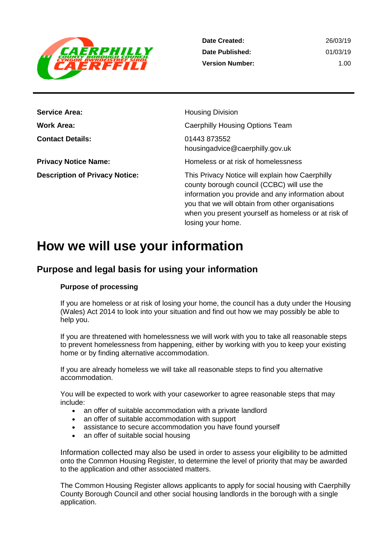

| <b>Service Area:</b>                  | <b>Housing Division</b>                                                                                                                                                                                                                                                            |
|---------------------------------------|------------------------------------------------------------------------------------------------------------------------------------------------------------------------------------------------------------------------------------------------------------------------------------|
| Work Area:                            | Caerphilly Housing Options Team                                                                                                                                                                                                                                                    |
| <b>Contact Details:</b>               | 01443 873552<br>housingadvice@caerphilly.gov.uk                                                                                                                                                                                                                                    |
| <b>Privacy Notice Name:</b>           | Homeless or at risk of homelessness                                                                                                                                                                                                                                                |
| <b>Description of Privacy Notice:</b> | This Privacy Notice will explain how Caerphilly<br>county borough council (CCBC) will use the<br>information you provide and any information about<br>you that we will obtain from other organisations<br>when you present yourself as homeless or at risk of<br>losing your home. |

# **How we will use your information**

## **Purpose and legal basis for using your information**

#### **Purpose of processing**

If you are homeless or at risk of losing your home, the council has a duty under the Housing (Wales) Act 2014 to look into your situation and find out how we may possibly be able to help you.

If you are threatened with homelessness we will work with you to take all reasonable steps to prevent homelessness from happening, either by working with you to keep your existing home or by finding alternative accommodation.

If you are already homeless we will take all reasonable steps to find you alternative accommodation.

You will be expected to work with your caseworker to agree reasonable steps that may include:

- an offer of suitable accommodation with a private landlord
- an offer of suitable accommodation with support
- assistance to secure accommodation you have found yourself
- an offer of suitable social housing

Information collected may also be used in order to assess your eligibility to be admitted onto the Common Housing Register, to determine the level of priority that may be awarded to the application and other associated matters.

The Common Housing Register allows applicants to apply for social housing with Caerphilly County Borough Council and other social housing landlords in the borough with a single application.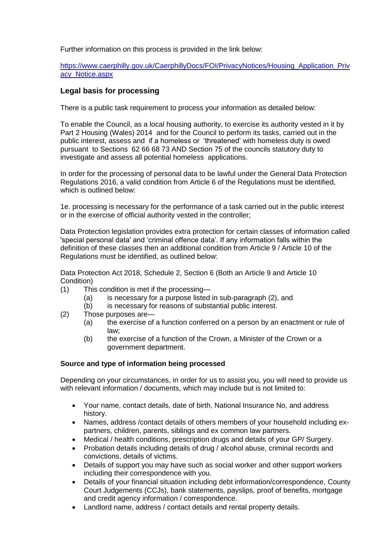Further information on this process is provided in the link below:

[https://www.caerphilly.gov.uk/CaerphillyDocs/FOI/PrivacyNotices/Housing\\_Application\\_Priv](https://www.caerphilly.gov.uk/CaerphillyDocs/FOI/PrivacyNotices/Housing_Application_Privacy_Notice.aspx) [acy\\_Notice.aspx](https://www.caerphilly.gov.uk/CaerphillyDocs/FOI/PrivacyNotices/Housing_Application_Privacy_Notice.aspx)

#### **Legal basis for processing**

There is a public task requirement to process your information as detailed below:

To enable the Council, as a local housing authority, to exercise its authority vested in it by Part 2 Housing (Wales) 2014 and for the Council to perform its tasks, carried out in the public interest, assess and if a homeless or 'threatened' with homeless duty is owed pursuant to Sections 62 66 68 73 AND Section 75 of the councils statutory duty to investigate and assess all potential homeless applications.

In order for the processing of personal data to be lawful under the General Data Protection Regulations 2016, a valid condition from Article 6 of the Regulations must be identified, which is outlined below:

1e. processing is necessary for the performance of a task carried out in the public interest or in the exercise of official authority vested in the controller;

Data Protection legislation provides extra protection for certain classes of information called 'special personal data' and 'criminal offence data'. If any information falls within the definition of these classes then an additional condition from Article 9 / Article 10 of the Regulations must be identified, as outlined below:

Data Protection Act 2018, Schedule 2, Section 6 (Both an Article 9 and Article 10 Condition)

- (1) This condition is met if the processing—
	- (a) is necessary for a purpose listed in sub-paragraph (2), and
	- (b) is necessary for reasons of substantial public interest.
- (2) Those purposes are—
	- (a) the exercise of a function conferred on a person by an enactment or rule of law;
	- (b) the exercise of a function of the Crown, a Minister of the Crown or a government department.

#### **Source and type of information being processed**

Depending on your circumstances, in order for us to assist you, you will need to provide us with relevant information / documents, which may include but is not limited to:

- Your name, contact details, date of birth, National Insurance No, and address history.
- Names, address /contact details of others members of your household including expartners, children, parents, siblings and ex common law partners.
- Medical / health conditions, prescription drugs and details of your GP/ Surgery.
- Probation details including details of drug / alcohol abuse, criminal records and convictions, details of victims.
- Details of support you may have such as social worker and other support workers including their correspondence with you.
- Details of your financial situation including debt information/correspondence, County Court Judgements (CCJs), bank statements, payslips, proof of benefits, mortgage and credit agency information / correspondence.
- Landlord name, address / contact details and rental property details.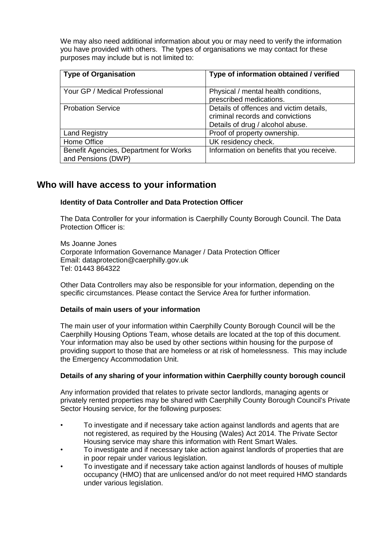We may also need additional information about you or may need to verify the information you have provided with others. The types of organisations we may contact for these purposes may include but is not limited to:

| <b>Type of Organisation</b>                                  | Type of information obtained / verified                                                                         |
|--------------------------------------------------------------|-----------------------------------------------------------------------------------------------------------------|
| Your GP / Medical Professional                               | Physical / mental health conditions,<br>prescribed medications.                                                 |
| <b>Probation Service</b>                                     | Details of offences and victim details,<br>criminal records and convictions<br>Details of drug / alcohol abuse. |
| <b>Land Registry</b>                                         | Proof of property ownership.                                                                                    |
| Home Office                                                  | UK residency check.                                                                                             |
| Benefit Agencies, Department for Works<br>and Pensions (DWP) | Information on benefits that you receive.                                                                       |

### **Who will have access to your information**

#### **Identity of Data Controller and Data Protection Officer**

The Data Controller for your information is Caerphilly County Borough Council. The Data Protection Officer is:

Ms Joanne Jones Corporate Information Governance Manager / Data Protection Officer Email: dataprotection@caerphilly.gov.uk Tel: 01443 864322

Other Data Controllers may also be responsible for your information, depending on the specific circumstances. Please contact the Service Area for further information.

#### **Details of main users of your information**

The main user of your information within Caerphilly County Borough Council will be the Caerphilly Housing Options Team, whose details are located at the top of this document. Your information may also be used by other sections within housing for the purpose of providing support to those that are homeless or at risk of homelessness. This may include the Emergency Accommodation Unit.

#### **Details of any sharing of your information within Caerphilly county borough council**

Any information provided that relates to private sector landlords, managing agents or privately rented properties may be shared with Caerphilly County Borough Council's Private Sector Housing service, for the following purposes:

- To investigate and if necessary take action against landlords and agents that are not registered, as required by the Housing (Wales) Act 2014. The Private Sector Housing service may share this information with Rent Smart Wales.
- To investigate and if necessary take action against landlords of properties that are in poor repair under various legislation.
- To investigate and if necessary take action against landlords of houses of multiple occupancy (HMO) that are unlicensed and/or do not meet required HMO standards under various legislation.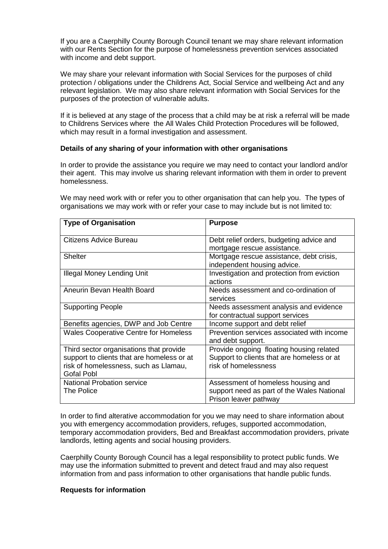If you are a Caerphilly County Borough Council tenant we may share relevant information with our Rents Section for the purpose of homelessness prevention services associated with income and debt support.

We may share your relevant information with Social Services for the purposes of child protection / obligations under the Childrens Act, Social Service and wellbeing Act and any relevant legislation. We may also share relevant information with Social Services for the purposes of the protection of vulnerable adults.

If it is believed at any stage of the process that a child may be at risk a referral will be made to Childrens Services where the All Wales Child Protection Procedures will be followed, which may result in a formal investigation and assessment.

#### **Details of any sharing of your information with other organisations**

In order to provide the assistance you require we may need to contact your landlord and/or their agent. This may involve us sharing relevant information with them in order to prevent homelessness.

We may need work with or refer you to other organisation that can help you. The types of organisations we may work with or refer your case to may include but is not limited to:

| <b>Type of Organisation</b>                                                                                                                         | <b>Purpose</b>                                                                                                 |
|-----------------------------------------------------------------------------------------------------------------------------------------------------|----------------------------------------------------------------------------------------------------------------|
| <b>Citizens Advice Bureau</b>                                                                                                                       | Debt relief orders, budgeting advice and<br>mortgage rescue assistance.                                        |
| <b>Shelter</b>                                                                                                                                      | Mortgage rescue assistance, debt crisis,<br>independent housing advice.                                        |
| <b>Illegal Money Lending Unit</b>                                                                                                                   | Investigation and protection from eviction<br>actions                                                          |
| Aneurin Bevan Health Board                                                                                                                          | Needs assessment and co-ordination of<br>services                                                              |
| <b>Supporting People</b>                                                                                                                            | Needs assessment analysis and evidence<br>for contractual support services                                     |
| Benefits agencies, DWP and Job Centre                                                                                                               | Income support and debt relief                                                                                 |
| <b>Wales Cooperative Centre for Homeless</b>                                                                                                        | Prevention services associated with income<br>and debt support.                                                |
| Third sector organisations that provide<br>support to clients that are homeless or at<br>risk of homelessness, such as Llamau,<br><b>Gofal Pobl</b> | Provide ongoing floating housing related<br>Support to clients that are homeless or at<br>risk of homelessness |
| <b>National Probation service</b><br><b>The Police</b>                                                                                              | Assessment of homeless housing and<br>support need as part of the Wales National<br>Prison leaver pathway      |

In order to find alterative accommodation for you we may need to share information about you with emergency accommodation providers, refuges, supported accommodation, temporary accommodation providers, Bed and Breakfast accommodation providers, private landlords, letting agents and social housing providers.

Caerphilly County Borough Council has a legal responsibility to protect public funds. We may use the information submitted to prevent and detect fraud and may also request information from and pass information to other organisations that handle public funds.

#### **Requests for information**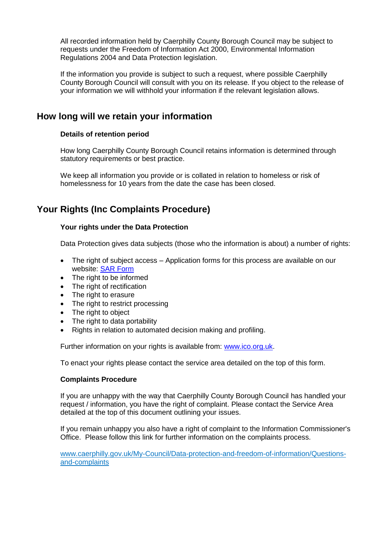All recorded information held by Caerphilly County Borough Council may be subject to requests under the Freedom of Information Act 2000, Environmental Information Regulations 2004 and Data Protection legislation.

If the information you provide is subject to such a request, where possible Caerphilly County Borough Council will consult with you on its release. If you object to the release of your information we will withhold your information if the relevant legislation allows.

## **How long will we retain your information**

#### **Details of retention period**

How long Caerphilly County Borough Council retains information is determined through statutory requirements or best practice.

We keep all information you provide or is collated in relation to homeless or risk of homelessness for 10 years from the date the case has been closed.

# **Your Rights (Inc Complaints Procedure)**

#### **Your rights under the Data Protection**

Data Protection gives data subjects (those who the information is about) a number of rights:

- The right of subject access Application forms for this process are available on our website: [SAR Form](http://www.caerphilly.gov.uk/CaerphillyDocs/Council-and-democracy/sar_form.aspx)
- The right to be informed
- The right of rectification
- The right to erasure
- The right to restrict processing
- The right to object
- The right to data portability
- Rights in relation to automated decision making and profiling.

Further information on your rights is available from: [www.ico.org.uk.](http://www.ico.org.uk/)

To enact your rights please contact the service area detailed on the top of this form.

#### **Complaints Procedure**

If you are unhappy with the way that Caerphilly County Borough Council has handled your request / information, you have the right of complaint. Please contact the Service Area detailed at the top of this document outlining your issues.

If you remain unhappy you also have a right of complaint to the Information Commissioner's Office. Please follow this link for further information on the complaints process.

[www.caerphilly.gov.uk/My-Council/Data-protection-and-freedom-of-information/Questions](http://www.caerphilly.gov.uk/My-Council/Data-protection-and-freedom-of-information/Questions-and-complaints)[and-complaints](http://www.caerphilly.gov.uk/My-Council/Data-protection-and-freedom-of-information/Questions-and-complaints)